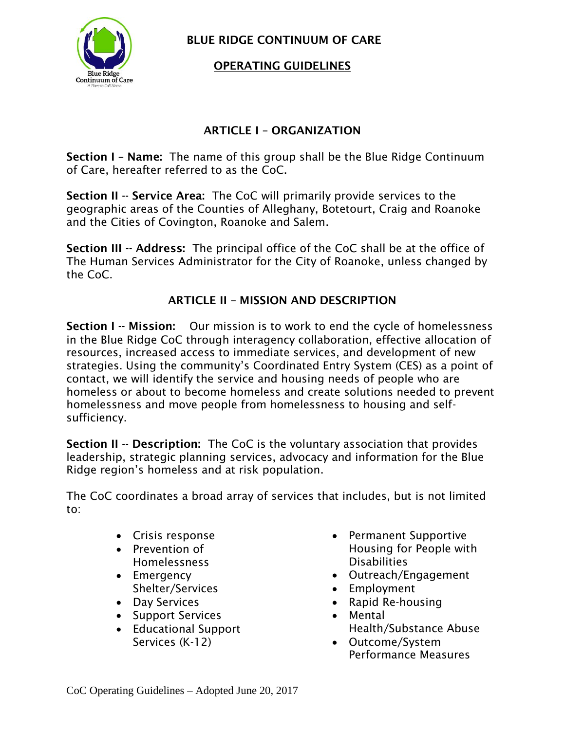

**BLUE RIDGE CONTINUUM OF CARE**

#### **OPERATING GUIDELINES**

#### **ARTICLE I – ORGANIZATION**

**Section I – Name:** The name of this group shall be the Blue Ridge Continuum of Care, hereafter referred to as the CoC.

**Section II -- Service Area:** The CoC will primarily provide services to the geographic areas of the Counties of Alleghany, Botetourt, Craig and Roanoke and the Cities of Covington, Roanoke and Salem.

**Section III -- Address:** The principal office of the CoC shall be at the office of The Human Services Administrator for the City of Roanoke, unless changed by the CoC.

# **ARTICLE II – MISSION AND DESCRIPTION**

**Section I -- Mission:** Our mission is to work to end the cycle of homelessness in the Blue Ridge CoC through interagency collaboration, effective allocation of resources, increased access to immediate services, and development of new strategies. Using the community's Coordinated Entry System (CES) as a point of contact, we will identify the service and housing needs of people who are homeless or about to become homeless and create solutions needed to prevent homelessness and move people from homelessness to housing and selfsufficiency.

**Section II -- Description:** The CoC is the voluntary association that provides leadership, strategic planning services, advocacy and information for the Blue Ridge region's homeless and at risk population.

The CoC coordinates a broad array of services that includes, but is not limited to:

- Crisis response
- Prevention of Homelessness
- Emergency Shelter/Services
- Day Services
- Support Services
- Educational Support Services (K-12)
- Permanent Supportive Housing for People with **Disabilities**
- Outreach/Engagement
- Employment
- Rapid Re-housing
- Mental Health/Substance Abuse
- Outcome/System Performance Measures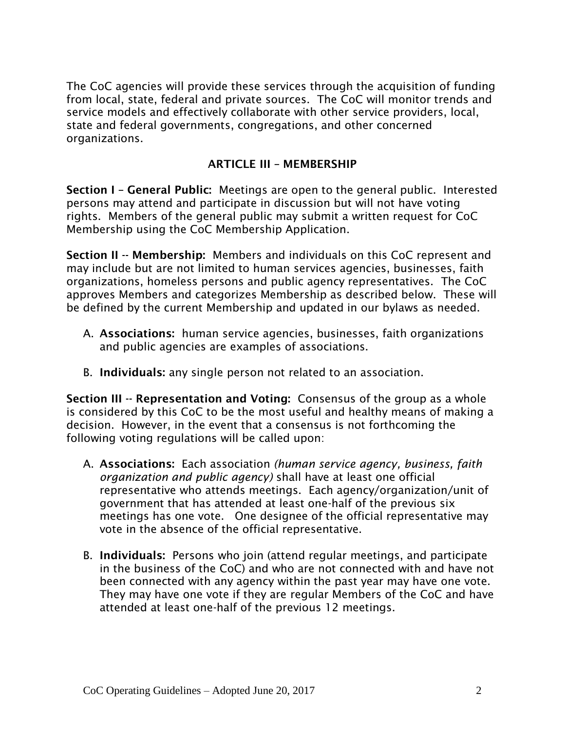The CoC agencies will provide these services through the acquisition of funding from local, state, federal and private sources. The CoC will monitor trends and service models and effectively collaborate with other service providers, local, state and federal governments, congregations, and other concerned organizations.

#### **ARTICLE III – MEMBERSHIP**

**Section I – General Public:** Meetings are open to the general public. Interested persons may attend and participate in discussion but will not have voting rights. Members of the general public may submit a written request for CoC Membership using the CoC Membership Application.

**Section II -- Membership:** Members and individuals on this CoC represent and may include but are not limited to human services agencies, businesses, faith organizations, homeless persons and public agency representatives. The CoC approves Members and categorizes Membership as described below. These will be defined by the current Membership and updated in our bylaws as needed.

- A. **Associations:** human service agencies, businesses, faith organizations and public agencies are examples of associations.
- B. **Individuals:** any single person not related to an association.

**Section III -- Representation and Voting:** Consensus of the group as a whole is considered by this CoC to be the most useful and healthy means of making a decision. However, in the event that a consensus is not forthcoming the following voting regulations will be called upon:

- A. **Associations:** Each association *(human service agency, business, faith organization and public agency)* shall have at least one official representative who attends meetings. Each agency/organization/unit of government that has attended at least one-half of the previous six meetings has one vote. One designee of the official representative may vote in the absence of the official representative.
- B. **Individuals:** Persons who join (attend regular meetings, and participate in the business of the CoC) and who are not connected with and have not been connected with any agency within the past year may have one vote. They may have one vote if they are regular Members of the CoC and have attended at least one-half of the previous 12 meetings.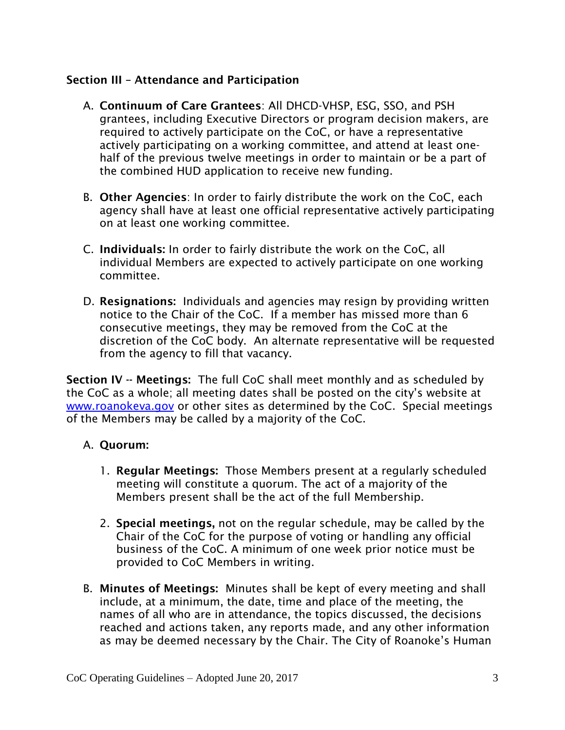#### **Section III – Attendance and Participation**

- A. **Continuum of Care Grantees**: All DHCD-VHSP, ESG, SSO, and PSH grantees, including Executive Directors or program decision makers, are required to actively participate on the CoC, or have a representative actively participating on a working committee, and attend at least onehalf of the previous twelve meetings in order to maintain or be a part of the combined HUD application to receive new funding.
- B. **Other Agencies**: In order to fairly distribute the work on the CoC, each agency shall have at least one official representative actively participating on at least one working committee.
- C. **Individuals:** In order to fairly distribute the work on the CoC, all individual Members are expected to actively participate on one working committee.
- D. **Resignations:** Individuals and agencies may resign by providing written notice to the Chair of the CoC. If a member has missed more than 6 consecutive meetings, they may be removed from the CoC at the discretion of the CoC body. An alternate representative will be requested from the agency to fill that vacancy.

**Section IV -- Meetings:** The full CoC shall meet monthly and as scheduled by the CoC as a whole; all meeting dates shall be posted on the city's website at [www.roanokeva.gov](http://www.roanokeva.gov/) or other sites as determined by the CoC. Special meetings of the Members may be called by a majority of the CoC.

## A. **Quorum:**

- 1. **Regular Meetings:** Those Members present at a regularly scheduled meeting will constitute a quorum. The act of a majority of the Members present shall be the act of the full Membership.
- 2. **Special meetings,** not on the regular schedule, may be called by the Chair of the CoC for the purpose of voting or handling any official business of the CoC. A minimum of one week prior notice must be provided to CoC Members in writing.
- B. **Minutes of Meetings:** Minutes shall be kept of every meeting and shall include, at a minimum, the date, time and place of the meeting, the names of all who are in attendance, the topics discussed, the decisions reached and actions taken, any reports made, and any other information as may be deemed necessary by the Chair. The City of Roanoke's Human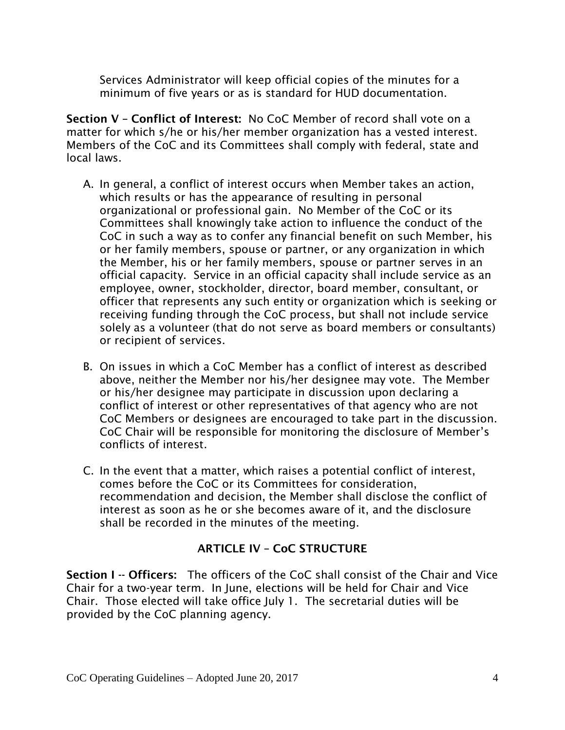Services Administrator will keep official copies of the minutes for a minimum of five years or as is standard for HUD documentation.

**Section V – Conflict of Interest:** No CoC Member of record shall vote on a matter for which s/he or his/her member organization has a vested interest. Members of the CoC and its Committees shall comply with federal, state and local laws.

- A. In general, a conflict of interest occurs when Member takes an action, which results or has the appearance of resulting in personal organizational or professional gain. No Member of the CoC or its Committees shall knowingly take action to influence the conduct of the CoC in such a way as to confer any financial benefit on such Member, his or her family members, spouse or partner, or any organization in which the Member, his or her family members, spouse or partner serves in an official capacity. Service in an official capacity shall include service as an employee, owner, stockholder, director, board member, consultant, or officer that represents any such entity or organization which is seeking or receiving funding through the CoC process, but shall not include service solely as a volunteer (that do not serve as board members or consultants) or recipient of services.
- B. On issues in which a CoC Member has a conflict of interest as described above, neither the Member nor his/her designee may vote. The Member or his/her designee may participate in discussion upon declaring a conflict of interest or other representatives of that agency who are not CoC Members or designees are encouraged to take part in the discussion. CoC Chair will be responsible for monitoring the disclosure of Member's conflicts of interest.
- C. In the event that a matter, which raises a potential conflict of interest, comes before the CoC or its Committees for consideration, recommendation and decision, the Member shall disclose the conflict of interest as soon as he or she becomes aware of it, and the disclosure shall be recorded in the minutes of the meeting.

## **ARTICLE IV – CoC STRUCTURE**

**Section I -- Officers:** The officers of the CoC shall consist of the Chair and Vice Chair for a two-year term. In June, elections will be held for Chair and Vice Chair. Those elected will take office July 1. The secretarial duties will be provided by the CoC planning agency.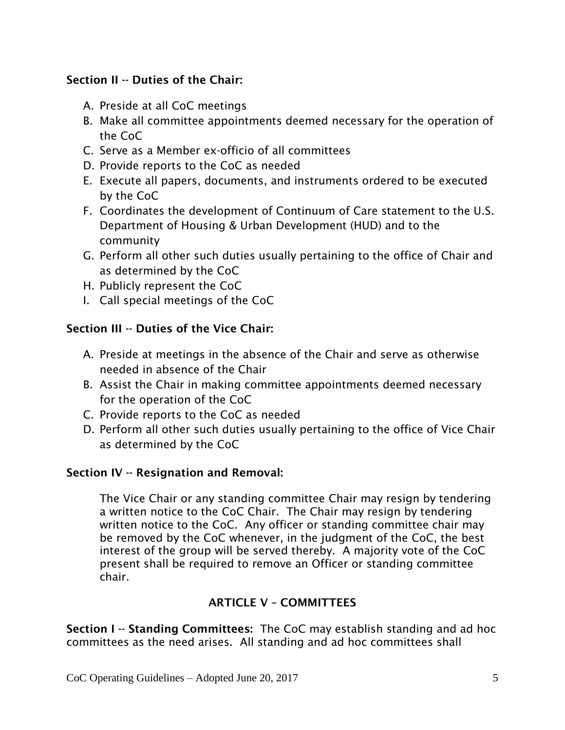# **Section II -- Duties of the Chair:**

- A. Preside at all CoC meetings
- B. Make all committee appointments deemed necessary for the operation of the CoC
- C. Serve as a Member ex-officio of all committees
- D. Provide reports to the CoC as needed
- E. Execute all papers, documents, and instruments ordered to be executed by the CoC
- F. Coordinates the development of Continuum of Care statement to the U.S. Department of Housing & Urban Development (HUD) and to the community
- G. Perform all other such duties usually pertaining to the office of Chair and as determined by the CoC
- H. Publicly represent the CoC
- I. Call special meetings of the CoC

# **Section III -- Duties of the Vice Chair:**

- A. Preside at meetings in the absence of the Chair and serve as otherwise needed in absence of the Chair
- B. Assist the Chair in making committee appointments deemed necessary for the operation of the CoC
- C. Provide reports to the CoC as needed
- D. Perform all other such duties usually pertaining to the office of Vice Chair as determined by the CoC

## **Section IV -- Resignation and Removal:**

The Vice Chair or any standing committee Chair may resign by tendering a written notice to the CoC Chair. The Chair may resign by tendering written notice to the CoC. Any officer or standing committee chair may be removed by the CoC whenever, in the judgment of the CoC, the best interest of the group will be served thereby. A majority vote of the CoC present shall be required to remove an Officer or standing committee chair.

# **ARTICLE V – COMMITTEES**

**Section I -- Standing Committees:** The CoC may establish standing and ad hoc committees as the need arises. All standing and ad hoc committees shall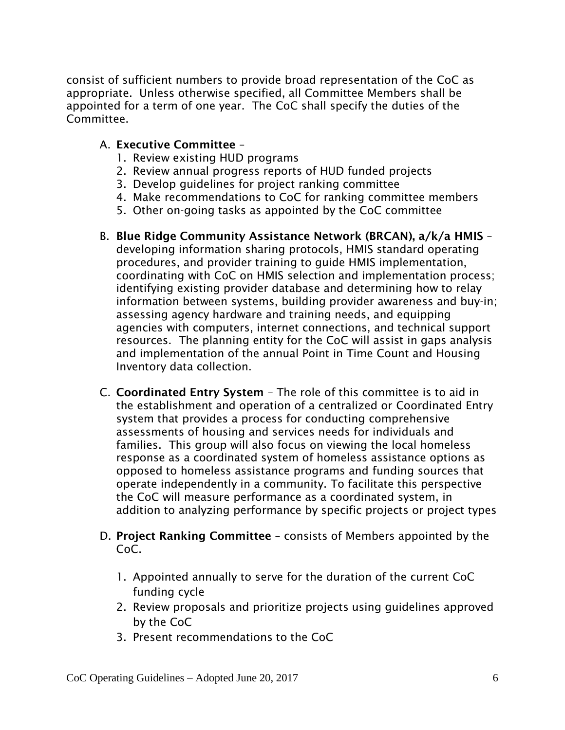consist of sufficient numbers to provide broad representation of the CoC as appropriate. Unless otherwise specified, all Committee Members shall be appointed for a term of one year. The CoC shall specify the duties of the Committee.

#### A. **Executive Committee** –

- 1. Review existing HUD programs
- 2. Review annual progress reports of HUD funded projects
- 3. Develop guidelines for project ranking committee
- 4. Make recommendations to CoC for ranking committee members
- 5. Other on-going tasks as appointed by the CoC committee
- B. **Blue Ridge Community Assistance Network (BRCAN), a/k/a HMIS** developing information sharing protocols, HMIS standard operating procedures, and provider training to guide HMIS implementation, coordinating with CoC on HMIS selection and implementation process; identifying existing provider database and determining how to relay information between systems, building provider awareness and buy-in; assessing agency hardware and training needs, and equipping agencies with computers, internet connections, and technical support resources. The planning entity for the CoC will assist in gaps analysis and implementation of the annual Point in Time Count and Housing Inventory data collection.
- C. **Coordinated Entry System** The role of this committee is to aid in the establishment and operation of a centralized or Coordinated Entry system that provides a process for conducting comprehensive assessments of housing and services needs for individuals and families. This group will also focus on viewing the local homeless response as a coordinated system of homeless assistance options as opposed to homeless assistance programs and funding sources that operate independently in a community. To facilitate this perspective the CoC will measure performance as a coordinated system, in addition to analyzing performance by specific projects or project types
- D. **Project Ranking Committee** consists of Members appointed by the CoC.
	- 1. Appointed annually to serve for the duration of the current CoC funding cycle
	- 2. Review proposals and prioritize projects using guidelines approved by the CoC
	- 3. Present recommendations to the CoC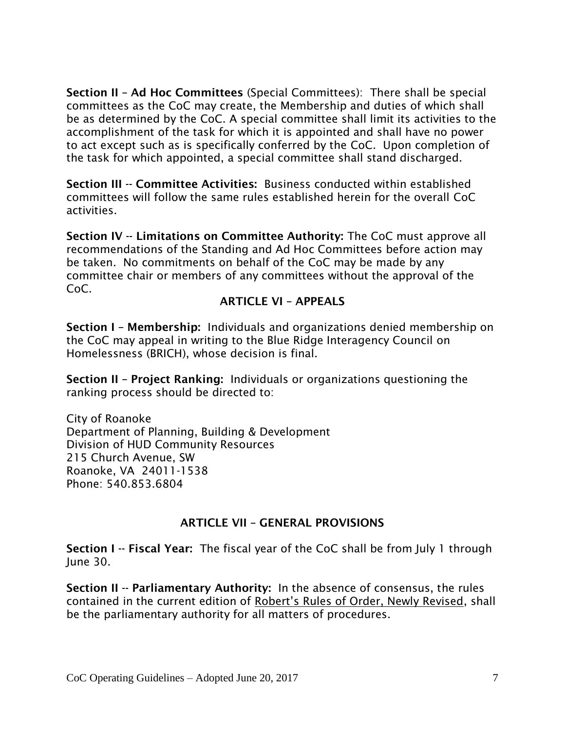**Section II – Ad Hoc Committees** (Special Committees): There shall be special committees as the CoC may create, the Membership and duties of which shall be as determined by the CoC. A special committee shall limit its activities to the accomplishment of the task for which it is appointed and shall have no power to act except such as is specifically conferred by the CoC. Upon completion of the task for which appointed, a special committee shall stand discharged.

**Section III -- Committee Activities:** Business conducted within established committees will follow the same rules established herein for the overall CoC activities.

**Section IV -- Limitations on Committee Authority:** The CoC must approve all recommendations of the Standing and Ad Hoc Committees before action may be taken. No commitments on behalf of the CoC may be made by any committee chair or members of any committees without the approval of the CoC.

## **ARTICLE VI – APPEALS**

**Section I – Membership:** Individuals and organizations denied membership on the CoC may appeal in writing to the Blue Ridge Interagency Council on Homelessness (BRICH), whose decision is final.

**Section II – Project Ranking:** Individuals or organizations questioning the ranking process should be directed to:

City of Roanoke Department of Planning, Building & Development Division of HUD Community Resources 215 Church Avenue, SW Roanoke, VA 24011-1538 Phone: 540.853.6804

## **ARTICLE VII – GENERAL PROVISIONS**

**Section I -- Fiscal Year:** The fiscal year of the CoC shall be from July 1 through June 30.

**Section II -- Parliamentary Authority:** In the absence of consensus, the rules contained in the current edition of Robert's Rules of Order, Newly Revised, shall be the parliamentary authority for all matters of procedures.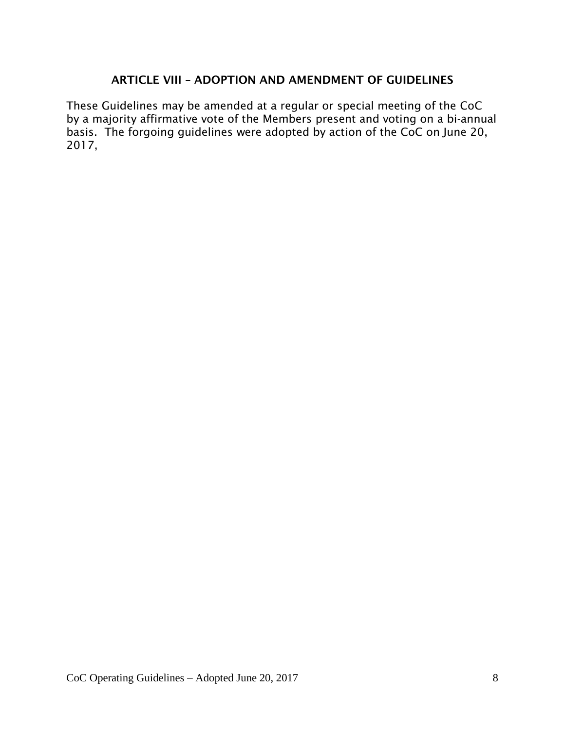#### **ARTICLE VIII – ADOPTION AND AMENDMENT OF GUIDELINES**

These Guidelines may be amended at a regular or special meeting of the CoC by a majority affirmative vote of the Members present and voting on a bi-annual basis. The forgoing guidelines were adopted by action of the CoC on June 20, 2017,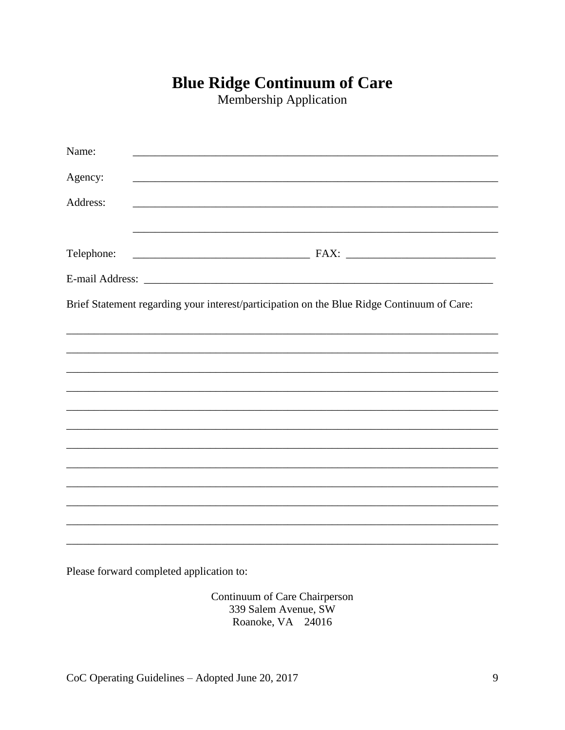# **Blue Ridge Continuum of Care**

Membership Application

| Name:      |                                                                                            |
|------------|--------------------------------------------------------------------------------------------|
| Agency:    |                                                                                            |
| Address:   |                                                                                            |
|            |                                                                                            |
| Telephone: |                                                                                            |
|            |                                                                                            |
|            | Brief Statement regarding your interest/participation on the Blue Ridge Continuum of Care: |
|            |                                                                                            |
|            |                                                                                            |
|            |                                                                                            |
|            |                                                                                            |
|            |                                                                                            |
|            |                                                                                            |
|            |                                                                                            |
|            |                                                                                            |
|            |                                                                                            |
|            |                                                                                            |
|            |                                                                                            |
|            |                                                                                            |
|            |                                                                                            |

Please forward completed application to:

Continuum of Care Chairperson 339 Salem Avenue, SW Roanoke, VA 24016